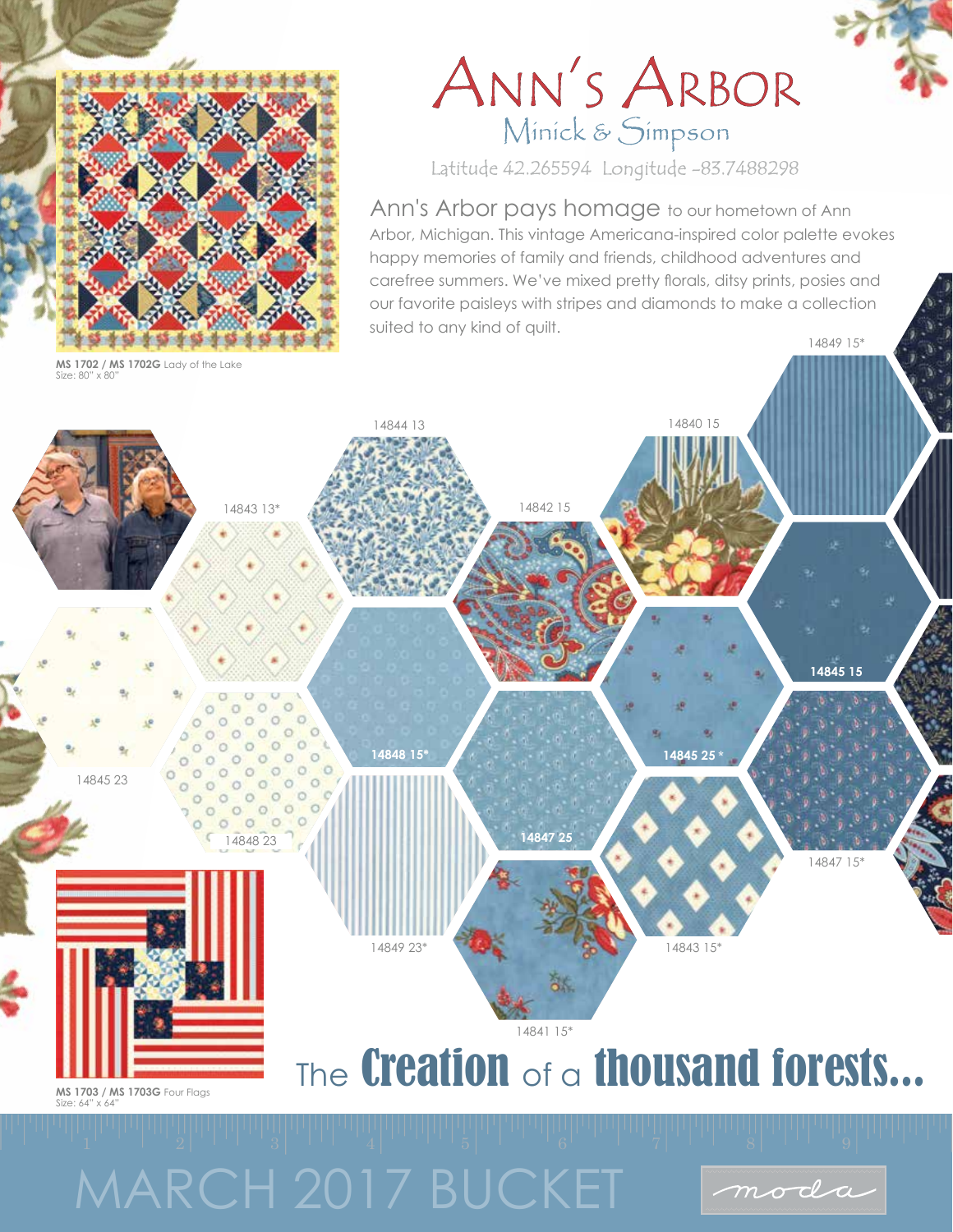

**MS 1702 / MS 1702G** Lady of the Lake Size: 80" x 80"

## ANN'S ARBOR Minick & Simpson

Latitude 42.265594 Longitude -83.7488298

Ann's Arbor pays homage to our hometown of Ann Arbor, Michigan. This vintage Americana-inspired color palette evokes happy memories of family and friends, childhood adventures and carefree summers. We've mixed pretty florals, ditsy prints, posies and our favorite paisleys with stripes and diamonds to make a collection suited to any kind of quilt. 14849 15\*